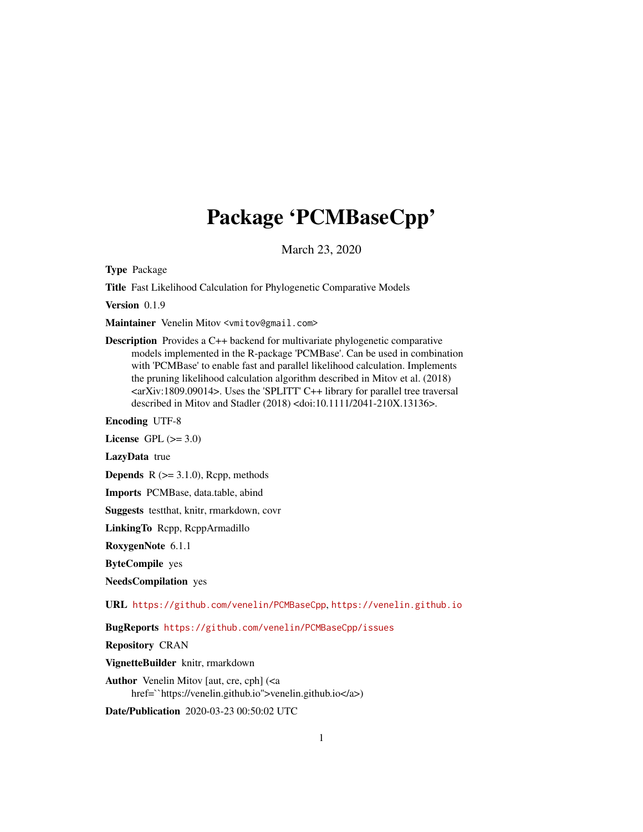# Package 'PCMBaseCpp'

March 23, 2020

<span id="page-0-0"></span>Type Package

Title Fast Likelihood Calculation for Phylogenetic Comparative Models

Version 0.1.9

Maintainer Venelin Mitov <vmitov@gmail.com>

Description Provides a C++ backend for multivariate phylogenetic comparative models implemented in the R-package 'PCMBase'. Can be used in combination with 'PCMBase' to enable fast and parallel likelihood calculation. Implements the pruning likelihood calculation algorithm described in Mitov et al. (2018) <arXiv:1809.09014>. Uses the 'SPLITT' C++ library for parallel tree traversal described in Mitov and Stadler (2018) <doi:10.1111/2041-210X.13136>.

Encoding UTF-8

License GPL  $(>= 3.0)$ 

LazyData true

**Depends**  $R$  ( $>= 3.1.0$ ), Rcpp, methods

Imports PCMBase, data.table, abind

Suggests testthat, knitr, rmarkdown, covr

LinkingTo Rcpp, RcppArmadillo

RoxygenNote 6.1.1

ByteCompile yes

NeedsCompilation yes

URL <https://github.com/venelin/PCMBaseCpp>, <https://venelin.github.io>

BugReports <https://github.com/venelin/PCMBaseCpp/issues>

Repository CRAN

VignetteBuilder knitr, rmarkdown

Author Venelin Mitov [aut, cre, cph] (<a href=``https://venelin.github.io''>venelin.github.io</a>)

Date/Publication 2020-03-23 00:50:02 UTC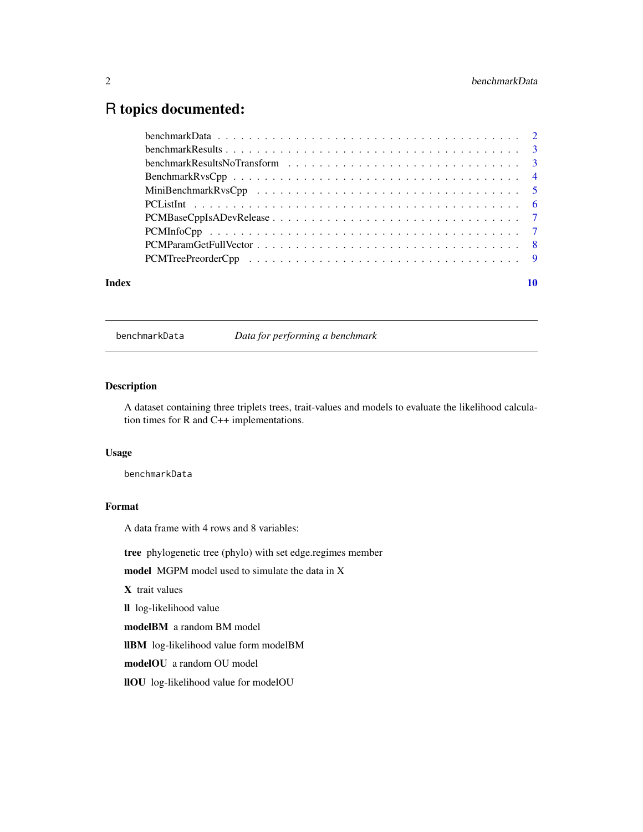# <span id="page-1-0"></span>R topics documented:

| Index |  |
|-------|--|

benchmarkData *Data for performing a benchmark*

# Description

A dataset containing three triplets trees, trait-values and models to evaluate the likelihood calculation times for R and C++ implementations.

# Usage

benchmarkData

# Format

A data frame with 4 rows and 8 variables:

tree phylogenetic tree (phylo) with set edge.regimes member

model MGPM model used to simulate the data in X

X trait values

ll log-likelihood value

modelBM a random BM model

llBM log-likelihood value form modelBM

modelOU a random OU model

llOU log-likelihood value for modelOU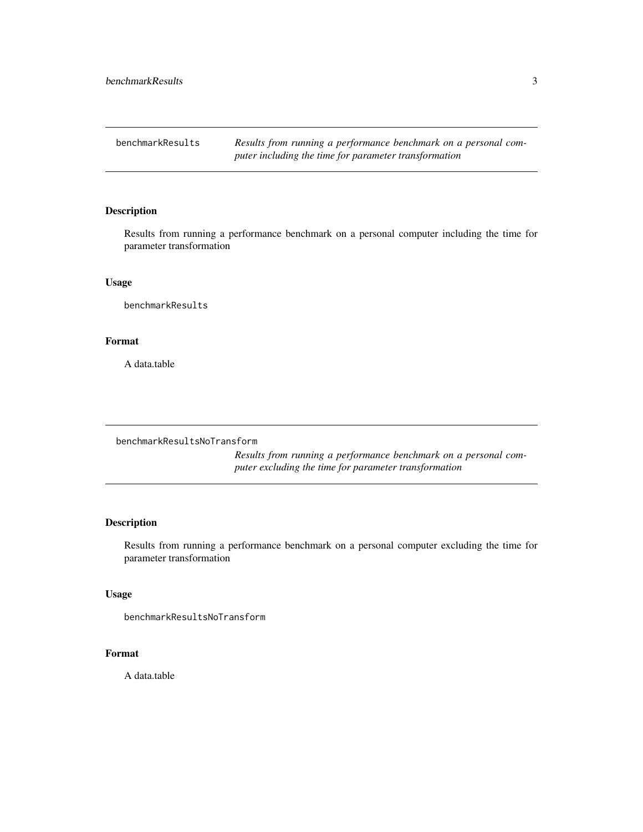<span id="page-2-0"></span>benchmarkResults *Results from running a performance benchmark on a personal computer including the time for parameter transformation*

# Description

Results from running a performance benchmark on a personal computer including the time for parameter transformation

# Usage

benchmarkResults

# Format

A data.table

benchmarkResultsNoTransform

*Results from running a performance benchmark on a personal computer excluding the time for parameter transformation*

# Description

Results from running a performance benchmark on a personal computer excluding the time for parameter transformation

# Usage

benchmarkResultsNoTransform

# Format

A data.table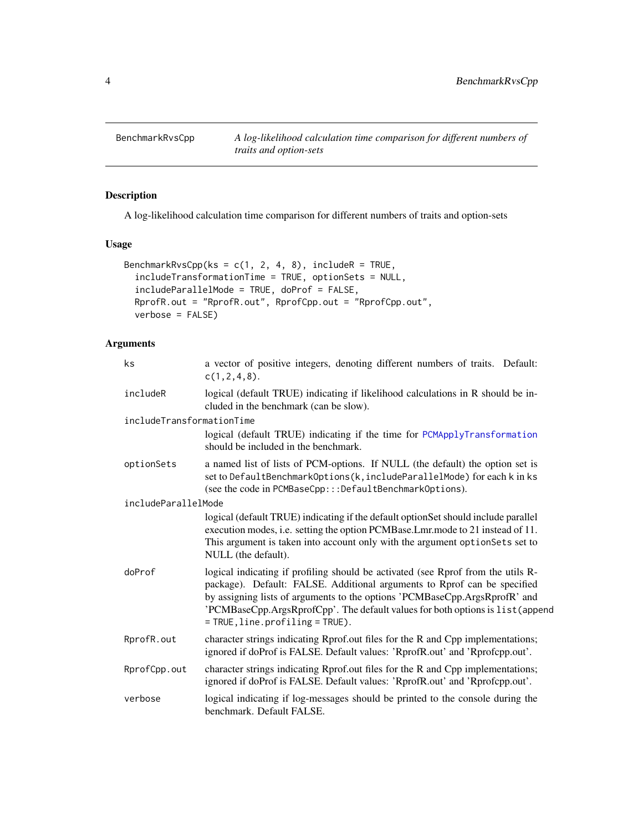<span id="page-3-0"></span>

# Description

A log-likelihood calculation time comparison for different numbers of traits and option-sets

# Usage

```
BenchmarkRvsCpp(ks = c(1, 2, 4, 8), includeR = TRUE,
  includeTransformationTime = TRUE, optionSets = NULL,
  includeParallelMode = TRUE, doProf = FALSE,
 RprofR.out = "RprofR.out", RprofCpp.out = "RprofCpp.out",
  verbose = FALSE)
```
# Arguments

| ks                                                                                                                                                                            | a vector of positive integers, denoting different numbers of traits. Default:<br>c(1, 2, 4, 8).                                                                                                                                                                                                                                                                   |  |
|-------------------------------------------------------------------------------------------------------------------------------------------------------------------------------|-------------------------------------------------------------------------------------------------------------------------------------------------------------------------------------------------------------------------------------------------------------------------------------------------------------------------------------------------------------------|--|
| includeR                                                                                                                                                                      | logical (default TRUE) indicating if likelihood calculations in R should be in-<br>cluded in the benchmark (can be slow).                                                                                                                                                                                                                                         |  |
| includeTransformationTime                                                                                                                                                     |                                                                                                                                                                                                                                                                                                                                                                   |  |
|                                                                                                                                                                               | logical (default TRUE) indicating if the time for PCMApplyTransformation<br>should be included in the benchmark.                                                                                                                                                                                                                                                  |  |
| optionSets                                                                                                                                                                    | a named list of lists of PCM-options. If NULL (the default) the option set is<br>set to DefaultBenchmarkOptions(k, includeParallelMode) for each k in ks<br>(see the code in PCMBaseCpp:::DefaultBenchmarkOptions).                                                                                                                                               |  |
| includeParallelMode                                                                                                                                                           |                                                                                                                                                                                                                                                                                                                                                                   |  |
|                                                                                                                                                                               | logical (default TRUE) indicating if the default optionSet should include parallel<br>execution modes, i.e. setting the option PCMBase.Lmr.mode to 21 instead of 11.<br>This argument is taken into account only with the argument optionSets set to<br>NULL (the default).                                                                                       |  |
| doProf                                                                                                                                                                        | logical indicating if profiling should be activated (see Rprof from the utils R-<br>package). Default: FALSE. Additional arguments to Rprof can be specified<br>by assigning lists of arguments to the options 'PCMBaseCpp.ArgsRprofR' and<br>'PCMBaseCpp.ArgsRprofCpp'. The default values for both options is list (append<br>$=$ TRUE, line.profiling = TRUE). |  |
| RprofR.out<br>character strings indicating Rprof.out files for the R and Cpp implementations;<br>ignored if doProf is FALSE. Default values: 'RprofR.out' and 'Rprofcpp.out'. |                                                                                                                                                                                                                                                                                                                                                                   |  |
| RprofCpp.out                                                                                                                                                                  | character strings indicating Rprof.out files for the R and Cpp implementations;<br>ignored if doProf is FALSE. Default values: 'RprofR.out' and 'Rprofcpp.out'.                                                                                                                                                                                                   |  |
| verbose                                                                                                                                                                       | logical indicating if log-messages should be printed to the console during the<br>benchmark. Default FALSE.                                                                                                                                                                                                                                                       |  |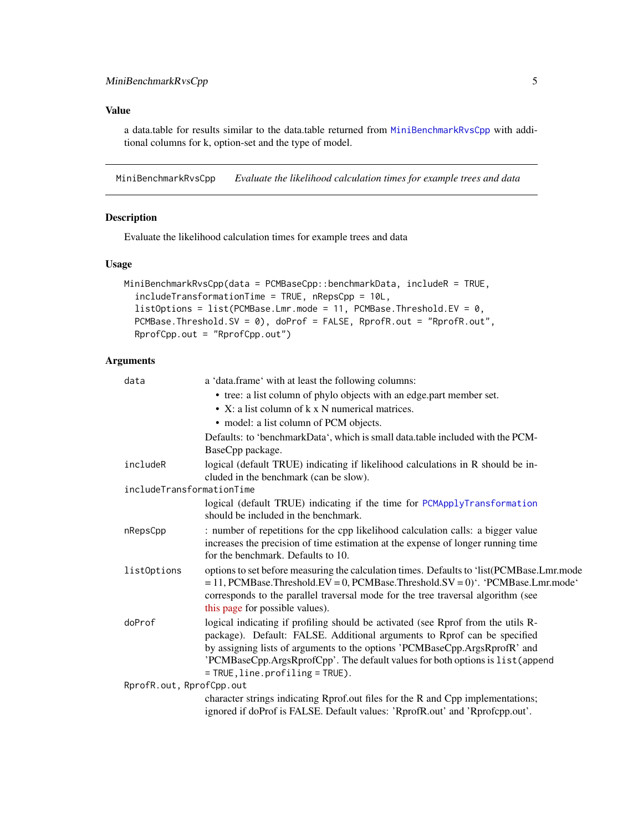# <span id="page-4-0"></span>Value

a data.table for results similar to the data.table returned from [MiniBenchmarkRvsCpp](#page-4-1) with additional columns for k, option-set and the type of model.

<span id="page-4-1"></span>MiniBenchmarkRvsCpp *Evaluate the likelihood calculation times for example trees and data*

# Description

Evaluate the likelihood calculation times for example trees and data

# Usage

```
MiniBenchmarkRvsCpp(data = PCMBaseCpp::benchmarkData, includeR = TRUE,
  includeTransformationTime = TRUE, nRepsCpp = 10L,
  listOptions = list(PCMBase.Lmr.mode = 11, PCMBase.Threshold.EV = \theta,
  PCMBase.Threshold.SV = 0), doProf = FALSE, RprofR.out = "RprofR.out",
  RprofCpp.out = "RprofCpp.out")
```
# Arguments

| data                      | a 'data.frame' with at least the following columns:                                                                                                                                                                                                                                                                                                               |
|---------------------------|-------------------------------------------------------------------------------------------------------------------------------------------------------------------------------------------------------------------------------------------------------------------------------------------------------------------------------------------------------------------|
|                           | • tree: a list column of phylo objects with an edge.part member set.                                                                                                                                                                                                                                                                                              |
|                           | • X: a list column of k x N numerical matrices.                                                                                                                                                                                                                                                                                                                   |
|                           | • model: a list column of PCM objects.                                                                                                                                                                                                                                                                                                                            |
|                           | Defaults: to 'benchmarkData', which is small data.table included with the PCM-                                                                                                                                                                                                                                                                                    |
|                           | BaseCpp package.                                                                                                                                                                                                                                                                                                                                                  |
| includeR                  | logical (default TRUE) indicating if likelihood calculations in R should be in-                                                                                                                                                                                                                                                                                   |
|                           | cluded in the benchmark (can be slow).                                                                                                                                                                                                                                                                                                                            |
| includeTransformationTime |                                                                                                                                                                                                                                                                                                                                                                   |
|                           | logical (default TRUE) indicating if the time for PCMApplyTransformation<br>should be included in the benchmark.                                                                                                                                                                                                                                                  |
| nRepsCpp                  | : number of repetitions for the cpp likelihood calculation calls: a bigger value<br>increases the precision of time estimation at the expense of longer running time<br>for the benchmark. Defaults to 10.                                                                                                                                                        |
| list0ptions               | options to set before measuring the calculation times. Defaults to 'list(PCMBase.Lmr.mode<br>$= 11$ , PCMBase.Threshold.EV = 0, PCMBase.Threshold.SV = 0)'. 'PCMBase.Lmr.mode'<br>corresponds to the parallel traversal mode for the tree traversal algorithm (see<br>this page for possible values).                                                             |
| doProf                    | logical indicating if profiling should be activated (see Rprof from the utils R-<br>package). Default: FALSE. Additional arguments to Rprof can be specified<br>by assigning lists of arguments to the options 'PCMBaseCpp.ArgsRprofR' and<br>'PCMBaseCpp.ArgsRprofCpp'. The default values for both options is list (append<br>$=$ TRUE, line.profiling = TRUE). |
| RprofR.out, RprofCpp.out  |                                                                                                                                                                                                                                                                                                                                                                   |
|                           | character strings indicating Rprof.out files for the R and Cpp implementations;<br>ignored if doProf is FALSE. Default values: 'RprofR.out' and 'Rprofcpp.out'.                                                                                                                                                                                                   |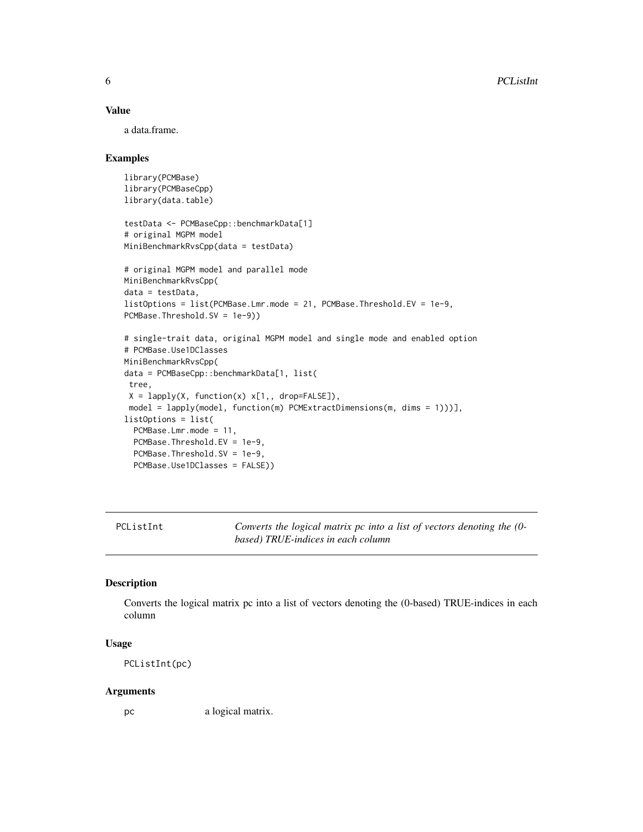# Value

a data.frame.

#### Examples

```
library(PCMBase)
library(PCMBaseCpp)
library(data.table)
testData <- PCMBaseCpp::benchmarkData[1]
# original MGPM model
MiniBenchmarkRvsCpp(data = testData)
# original MGPM model and parallel mode
MiniBenchmarkRvsCpp(
data = testData,
listOptions = list(PCMBase.Lmr.mode = 21, PCMBase.Threshold.EV = 1e-9,
PCMBase.Threshold.SV = 1e-9))
# single-trait data, original MGPM model and single mode and enabled option
# PCMBase.Use1DClasses
MiniBenchmarkRvsCpp(
data = PCMBaseCpp::benchmarkData[1, list(
 tree,
 X = \text{lapply}(X, function(x) \times [1, x], drop=FALSE]),
 model = lapply(model, function(m) PCMExtractDimensions(m, dims = 1)))],
listOptions = list(
  PCMBase.Lmr.mode = 11,
  PCMBase.Threshold.EV = 1e-9,
  PCMBase.Threshold.SV = 1e-9,
  PCMBase.Use1DClasses = FALSE))
```
PCListInt *Converts the logical matrix pc into a list of vectors denoting the (0 based) TRUE-indices in each column*

# Description

Converts the logical matrix pc into a list of vectors denoting the (0-based) TRUE-indices in each column

# Usage

PCListInt(pc)

#### Arguments

pc a logical matrix.

<span id="page-5-0"></span>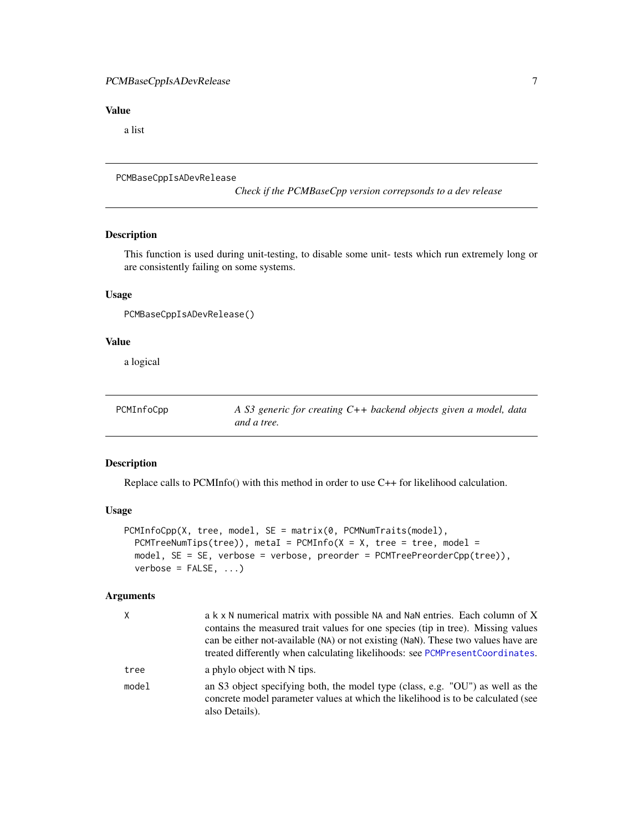# <span id="page-6-0"></span>PCMBaseCppIsADevRelease 7

# Value

a list

```
PCMBaseCppIsADevRelease
```
*Check if the PCMBaseCpp version correpsonds to a dev release*

# Description

This function is used during unit-testing, to disable some unit- tests which run extremely long or are consistently failing on some systems.

# Usage

```
PCMBaseCppIsADevRelease()
```
# Value

a logical

| PCMInfoCpp | A S3 generic for creating $C++$ backend objects given a model, data |
|------------|---------------------------------------------------------------------|
|            | and a tree.                                                         |

# Description

Replace calls to PCMInfo() with this method in order to use C++ for likelihood calculation.

### Usage

```
PCMInfoCpp(X, tree, model, SE = matrix(0, PCMNumTraits(model),
 PCMTreeNumTips(tree)), metaI = PCMInfo(X = X, tree = tree, model =model, SE = SE, verbose = verbose, preorder = PCMTreePreorderCpp(tree)),
 verbose = FALSE, ...)
```
# Arguments

| X     | a k x N numerical matrix with possible NA and NaN entries. Each column of X                                                                                                          |
|-------|--------------------------------------------------------------------------------------------------------------------------------------------------------------------------------------|
|       | contains the measured trait values for one species (tip in tree). Missing values                                                                                                     |
|       | can be either not-available (NA) or not existing (NaN). These two values have are                                                                                                    |
|       | treated differently when calculating likelihoods: see PCMPresent Coordinates.                                                                                                        |
| tree  | a phylo object with N tips.                                                                                                                                                          |
| model | an S3 object specifying both, the model type (class, e.g. "OU") as well as the<br>concrete model parameter values at which the likelihood is to be calculated (see<br>also Details). |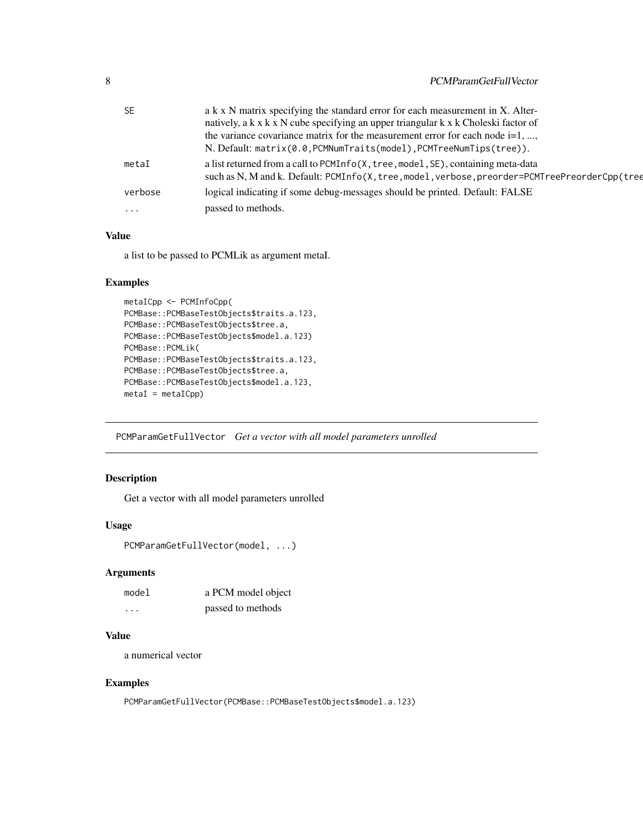<span id="page-7-0"></span>

| <b>SE</b> | a k x N matrix specifying the standard error for each measurement in X. Alter-                 |
|-----------|------------------------------------------------------------------------------------------------|
|           | natively, a k x k x N cube specifying an upper triangular k x k Choleski factor of             |
|           | the variance covariance matrix for the measurement error for each node $i=1, ,$                |
|           | N. Default: matrix(0.0, PCMNumTraits(model), PCMTreeNumTips(tree)).                            |
| metaI     | a list returned from a call to PCMInfo(X, tree, model, SE), containing meta-data               |
|           | such as N, M and k. Default: PCMInfo(X, tree, model, verbose, preorder=PCMTreePreorderCpp(tree |
| verbose   | logical indicating if some debug-messages should be printed. Default: FALSE                    |
| $\ddotsc$ | passed to methods.                                                                             |

#### Value

a list to be passed to PCMLik as argument metaI.

# Examples

```
metaICpp <- PCMInfoCpp(
PCMBase::PCMBaseTestObjects$traits.a.123,
PCMBase::PCMBaseTestObjects$tree.a,
PCMBase::PCMBaseTestObjects$model.a.123)
PCMBase::PCMLik(
PCMBase::PCMBaseTestObjects$traits.a.123,
PCMBase::PCMBaseTestObjects$tree.a,
PCMBase::PCMBaseTestObjects$model.a.123,
metal = metalCpp)
```
PCMParamGetFullVector *Get a vector with all model parameters unrolled*

# Description

Get a vector with all model parameters unrolled

# Usage

```
PCMParamGetFullVector(model, ...)
```
# Arguments

| model | a PCM model object |
|-------|--------------------|
| .     | passed to methods  |

# Value

a numerical vector

# Examples

PCMParamGetFullVector(PCMBase::PCMBaseTestObjects\$model.a.123)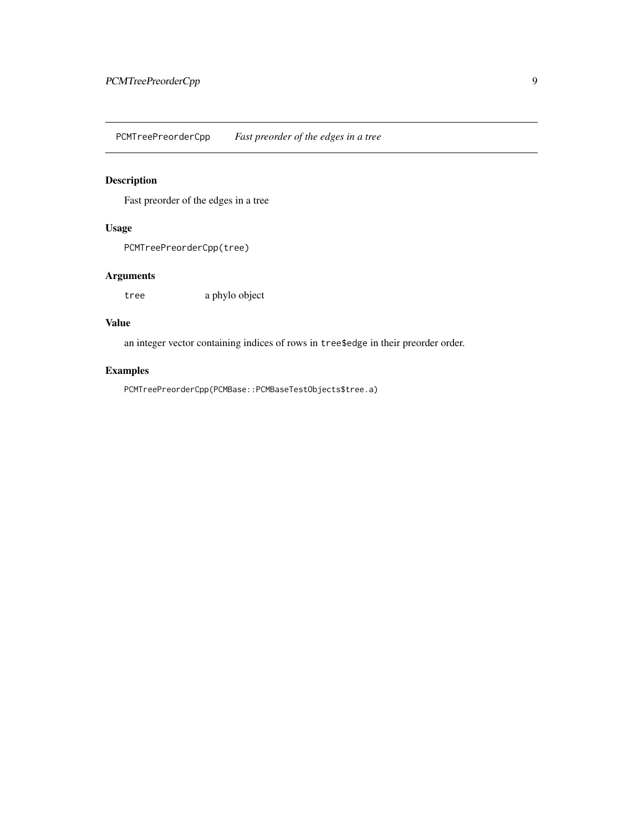<span id="page-8-0"></span>PCMTreePreorderCpp *Fast preorder of the edges in a tree*

# Description

Fast preorder of the edges in a tree

# Usage

PCMTreePreorderCpp(tree)

# Arguments

tree a phylo object

# Value

an integer vector containing indices of rows in tree\$edge in their preorder order.

# Examples

PCMTreePreorderCpp(PCMBase::PCMBaseTestObjects\$tree.a)